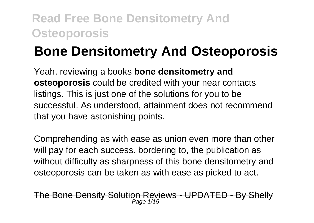# **Bone Densitometry And Osteoporosis**

Yeah, reviewing a books **bone densitometry and osteoporosis** could be credited with your near contacts listings. This is just one of the solutions for you to be successful. As understood, attainment does not recommend that you have astonishing points.

Comprehending as with ease as union even more than other will pay for each success. bordering to, the publication as without difficulty as sharpness of this bone densitometry and osteoporosis can be taken as with ease as picked to act.

Bone Density Solution Reviews - UPDATED Page 1/15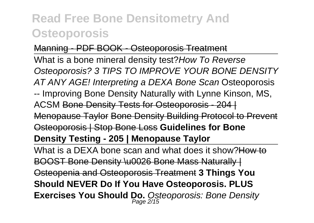#### Manning - PDF BOOK - Osteoporosis Treatment

What is a bone mineral density test? How To Reverse Osteoporosis? 3 TIPS TO IMPROVE YOUR BONE DENSITY AT ANY AGE! Interpreting a DEXA Bone Scan Osteoporosis -- Improving Bone Density Naturally with Lynne Kinson, MS, ACSM Bone Density Tests for Osteoporosis - 204 | Menopause Taylor Bone Density Building Protocol to Prevent Osteoporosis | Stop Bone Loss **Guidelines for Bone Density Testing - 205 | Menopause Taylor**

What is a DEXA bone scan and what does it show?How to BOOST Bone Density \u0026 Bone Mass Naturally | Osteopenia and Osteoporosis Treatment **3 Things You Should NEVER Do If You Have Osteoporosis. PLUS** Exercises You Should Do. Osteoporosis: Bone Density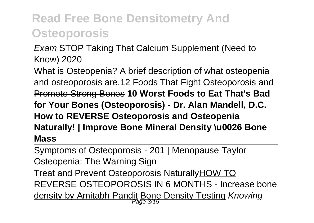#### Exam STOP Taking That Calcium Supplement (Need to Know) 2020

What is Osteopenia? A brief description of what osteopenia and osteoporosis are.12 Foods That Fight Osteoporosis and Promote Strong Bones **10 Worst Foods to Eat That's Bad for Your Bones (Osteoporosis) - Dr. Alan Mandell, D.C. How to REVERSE Osteoporosis and Osteopenia Naturally! | Improve Bone Mineral Density \u0026 Bone Mass**

Symptoms of Osteoporosis - 201 | Menopause Taylor Osteopenia: The Warning Sign

Treat and Prevent Osteoporosis NaturallyHOW TO REVERSE OSTEOPOROSIS IN 6 MONTHS - Increase bone density by Amitabh Pandit Bone Density Testing *Knowing*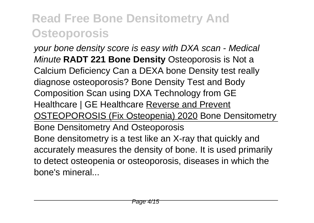your bone density score is easy with DXA scan - Medical Minute **RADT 221 Bone Density** Osteoporosis is Not a Calcium Deficiency Can a DEXA bone Density test really diagnose osteoporosis? Bone Density Test and Body Composition Scan using DXA Technology from GE Healthcare | GE Healthcare Reverse and Prevent OSTEOPOROSIS (Fix Osteopenia) 2020 Bone Densitometry Bone Densitometry And Osteoporosis Bone densitometry is a test like an X-ray that quickly and accurately measures the density of bone. It is used primarily to detect osteopenia or osteoporosis, diseases in which the bone's mineral...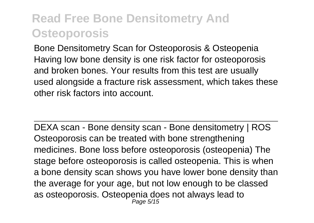Bone Densitometry Scan for Osteoporosis & Osteopenia Having low bone density is one risk factor for osteoporosis and broken bones. Your results from this test are usually used alongside a fracture risk assessment, which takes these other risk factors into account.

DEXA scan - Bone density scan - Bone densitometry | ROS Osteoporosis can be treated with bone strengthening medicines. Bone loss before osteoporosis (osteopenia) The stage before osteoporosis is called osteopenia. This is when a bone density scan shows you have lower bone density than the average for your age, but not low enough to be classed as osteoporosis. Osteopenia does not always lead to Page 5/15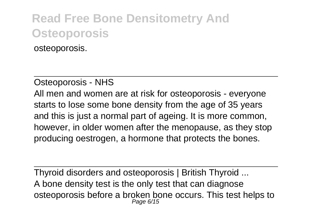osteoporosis.

#### Osteoporosis - NHS

All men and women are at risk for osteoporosis - everyone starts to lose some bone density from the age of 35 years and this is just a normal part of ageing. It is more common, however, in older women after the menopause, as they stop producing oestrogen, a hormone that protects the bones.

Thyroid disorders and osteoporosis | British Thyroid ... A bone density test is the only test that can diagnose osteoporosis before a broken bone occurs. This test helps to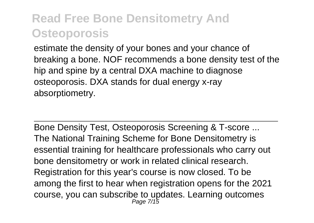estimate the density of your bones and your chance of breaking a bone. NOF recommends a bone density test of the hip and spine by a central DXA machine to diagnose osteoporosis. DXA stands for dual energy x-ray absorptiometry.

Bone Density Test, Osteoporosis Screening & T-score ... The National Training Scheme for Bone Densitometry is essential training for healthcare professionals who carry out bone densitometry or work in related clinical research. Registration for this year's course is now closed. To be among the first to hear when registration opens for the 2021 course, you can subscribe to updates. Learning outcomes Page 7/15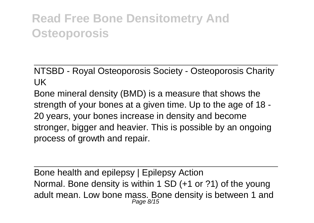NTSBD - Royal Osteoporosis Society - Osteoporosis Charity UK

Bone mineral density (BMD) is a measure that shows the strength of your bones at a given time. Up to the age of 18 - 20 years, your bones increase in density and become stronger, bigger and heavier. This is possible by an ongoing process of growth and repair.

Bone health and epilepsy | Epilepsy Action Normal. Bone density is within 1 SD (+1 or ?1) of the young adult mean. Low bone mass. Bone density is between 1 and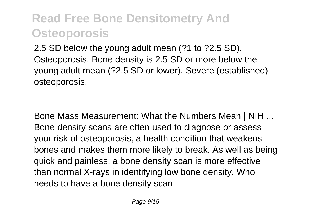2.5 SD below the young adult mean (?1 to ?2.5 SD). Osteoporosis. Bone density is 2.5 SD or more below the young adult mean (?2.5 SD or lower). Severe (established) osteoporosis.

Bone Mass Measurement: What the Numbers Mean | NIH ... Bone density scans are often used to diagnose or assess your risk of osteoporosis, a health condition that weakens bones and makes them more likely to break. As well as being quick and painless, a bone density scan is more effective than normal X-rays in identifying low bone density. Who needs to have a bone density scan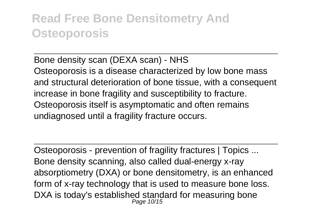Bone density scan (DEXA scan) - NHS Osteoporosis is a disease characterized by low bone mass and structural deterioration of bone tissue, with a consequent increase in bone fragility and susceptibility to fracture. Osteoporosis itself is asymptomatic and often remains undiagnosed until a fragility fracture occurs.

Osteoporosis - prevention of fragility fractures | Topics ... Bone density scanning, also called dual-energy x-ray absorptiometry (DXA) or bone densitometry, is an enhanced form of x-ray technology that is used to measure bone loss. DXA is today's established standard for measuring bone Page 10/15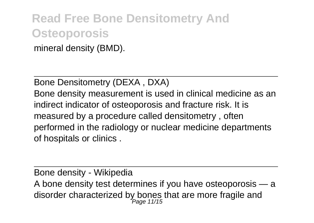mineral density (BMD).

Bone Densitometry (DEXA , DXA)

Bone density measurement is used in clinical medicine as an indirect indicator of osteoporosis and fracture risk. It is measured by a procedure called densitometry , often performed in the radiology or nuclear medicine departments of hospitals or clinics .

Bone density - Wikipedia A bone density test determines if you have osteoporosis — a disorder characterized by bones that are more fragile and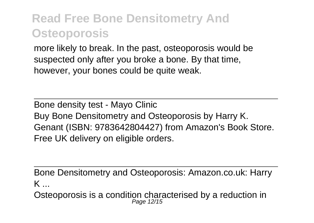more likely to break. In the past, osteoporosis would be suspected only after you broke a bone. By that time, however, your bones could be quite weak.

Bone density test - Mayo Clinic Buy Bone Densitometry and Osteoporosis by Harry K. Genant (ISBN: 9783642804427) from Amazon's Book Store. Free UK delivery on eligible orders.

Bone Densitometry and Osteoporosis: Amazon.co.uk: Harry K ...

Osteoporosis is a condition characterised by a reduction in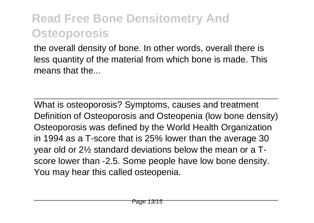the overall density of bone. In other words, overall there is less quantity of the material from which bone is made. This means that the

What is osteoporosis? Symptoms, causes and treatment Definition of Osteoporosis and Osteopenia (low bone density) Osteoporosis was defined by the World Health Organization in 1994 as a T-score that is 25% lower than the average 30 year old or 2½ standard deviations below the mean or a Tscore lower than -2.5. Some people have low bone density. You may hear this called osteopenia.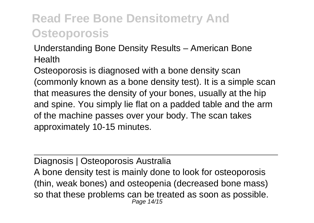Understanding Bone Density Results – American Bone Health

Osteoporosis is diagnosed with a bone density scan (commonly known as a bone density test). It is a simple scan that measures the density of your bones, usually at the hip and spine. You simply lie flat on a padded table and the arm of the machine passes over your body. The scan takes approximately 10-15 minutes.

Diagnosis | Osteoporosis Australia A bone density test is mainly done to look for osteoporosis (thin, weak bones) and osteopenia (decreased bone mass) so that these problems can be treated as soon as possible. Page 14/15